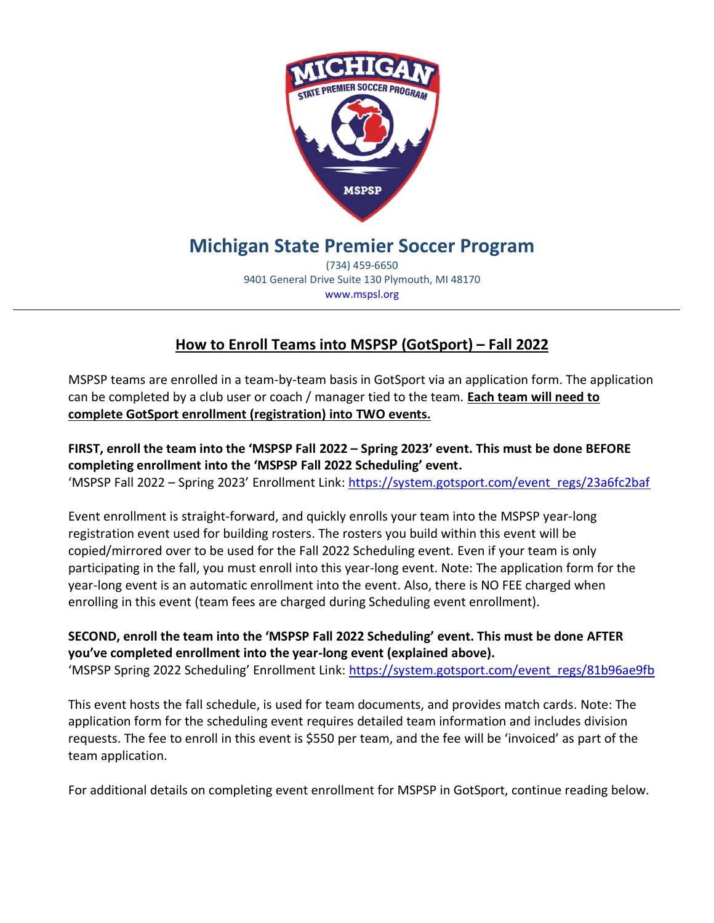

## **Michigan State Premier Soccer Program**

(734) 459-6650 9401 General Drive Suite 130 Plymouth, MI 48170 www.mspsl.org

## **How to Enroll Teams into MSPSP (GotSport) – Fall 2022**

MSPSP teams are enrolled in a team-by-team basis in GotSport via an application form. The application can be completed by a club user or coach / manager tied to the team. **Each team will need to complete GotSport enrollment (registration) into TWO events.**

**FIRST, enroll the team into the 'MSPSP Fall 2022 – Spring 2023' event. This must be done BEFORE completing enrollment into the 'MSPSP Fall 2022 Scheduling' event.**  'MSPSP Fall 2022 – Spring 2023' Enrollment Link: [https://system.gotsport.com/event\\_regs/23a6fc2baf](https://system.gotsport.com/event_regs/23a6fc2baf)

Event enrollment is straight-forward, and quickly enrolls your team into the MSPSP year-long registration event used for building rosters. The rosters you build within this event will be copied/mirrored over to be used for the Fall 2022 Scheduling event. Even if your team is only participating in the fall, you must enroll into this year-long event. Note: The application form for the year-long event is an automatic enrollment into the event. Also, there is NO FEE charged when enrolling in this event (team fees are charged during Scheduling event enrollment).

**SECOND, enroll the team into the 'MSPSP Fall 2022 Scheduling' event. This must be done AFTER you've completed enrollment into the year-long event (explained above).**  'MSPSP Spring 2022 Scheduling' Enrollment Link: [https://system.gotsport.com/event\\_regs/81b96ae9fb](https://system.gotsport.com/event_regs/81b96ae9fb)

This event hosts the fall schedule, is used for team documents, and provides match cards. Note: The application form for the scheduling event requires detailed team information and includes division requests. The fee to enroll in this event is \$550 per team, and the fee will be 'invoiced' as part of the team application.

For additional details on completing event enrollment for MSPSP in GotSport, continue reading below.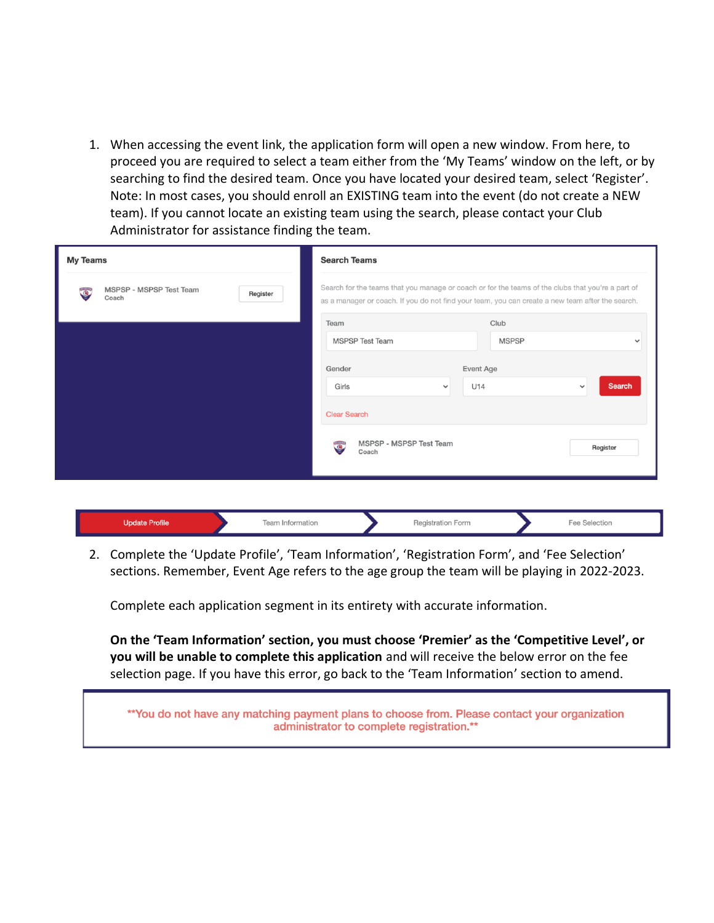1. When accessing the event link, the application form will open a new window. From here, to proceed you are required to select a team either from the 'My Teams' window on the left, or by searching to find the desired team. Once you have located your desired team, select 'Register'. Note: In most cases, you should enroll an EXISTING team into the event (do not create a NEW team). If you cannot locate an existing team using the search, please contact your Club Administrator for assistance finding the team.

| <b>My Teams</b>                                           | <b>Search Teams</b>                                                                                                                                                                                   |  |  |  |  |
|-----------------------------------------------------------|-------------------------------------------------------------------------------------------------------------------------------------------------------------------------------------------------------|--|--|--|--|
| MSPSP - MSPSP Test Team<br>$\bullet$<br>Register<br>Coach | Search for the teams that you manage or coach or for the teams of the clubs that you're a part of<br>as a manager or coach. If you do not find your team, you can create a new team after the search. |  |  |  |  |
|                                                           | Club<br>Team                                                                                                                                                                                          |  |  |  |  |
|                                                           | <b>MSPSP Test Team</b><br><b>MSPSP</b><br>$\checkmark$                                                                                                                                                |  |  |  |  |
|                                                           | Gender<br>Event Age                                                                                                                                                                                   |  |  |  |  |
|                                                           | <b>Search</b><br>U14<br>Girls<br>$\checkmark$<br>$\checkmark$                                                                                                                                         |  |  |  |  |
|                                                           | <b>Clear Search</b>                                                                                                                                                                                   |  |  |  |  |
|                                                           | MSPSP - MSPSP Test Team<br>$\bullet$<br>Register<br>Coach                                                                                                                                             |  |  |  |  |
|                                                           |                                                                                                                                                                                                       |  |  |  |  |

|  | ------- |  |
|--|---------|--|
|  |         |  |

2. Complete the 'Update Profile', 'Team Information', 'Registration Form', and 'Fee Selection' sections. Remember, Event Age refers to the age group the team will be playing in 2022-2023.

Complete each application segment in its entirety with accurate information.

**On the 'Team Information' section, you must choose 'Premier' as the 'Competitive Level', or you will be unable to complete this application** and will receive the below error on the fee selection page. If you have this error, go back to the 'Team Information' section to amend.

\*\*You do not have any matching payment plans to choose from. Please contact your organization administrator to complete registration.\*\*